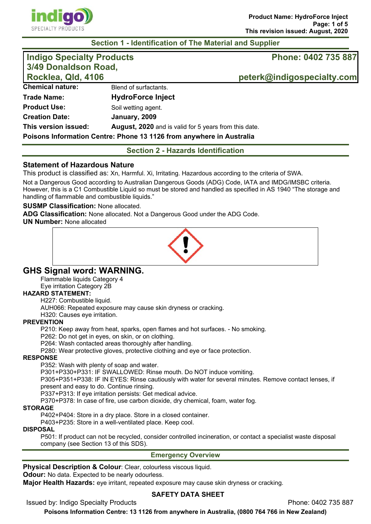

## **Section 1 - Identification of The Material and Supplier**

| Indigo Specialty Products<br>3/49 Donaldson Road,<br>Rocklea, Qld, 4106 |                                                                      | Phone: 0402 735 887        |  |
|-------------------------------------------------------------------------|----------------------------------------------------------------------|----------------------------|--|
|                                                                         |                                                                      | peterk@indigospecialty.com |  |
| <b>Chemical nature:</b>                                                 | Blend of surfactants.                                                |                            |  |
| <b>Trade Name:</b>                                                      | <b>HydroForce Inject</b>                                             |                            |  |
| <b>Product Use:</b>                                                     | Soil wetting agent.                                                  |                            |  |
| <b>Creation Date:</b>                                                   | January, 2009                                                        |                            |  |
| This version issued:                                                    | <b>August, 2020</b> and is valid for 5 years from this date.         |                            |  |
|                                                                         | Poisons Information Centre: Phone 13 1126 from anywhere in Australia |                            |  |

**Section 2 - Hazards Identification** 

## **Statement of Hazardous Nature**

This product is classified as: Xn, Harmful. Xi, Irritating. Hazardous according to the criteria of SWA.

Not a Dangerous Good according to Australian Dangerous Goods (ADG) Code, IATA and IMDG/IMSBC criteria. However, this is a C1 Combustible Liquid so must be stored and handled as specified in AS 1940 "The storage and handling of flammable and combustible liquids."

## **SUSMP Classification:** None allocated.

**ADG Classification:** None allocated. Not a Dangerous Good under the ADG Code.

**UN Number:** None allocated



# **GHS Signal word: WARNING.**

Flammable liquids Category 4

Eye irritation Category 2B

#### **HAZARD STATEMENT:**

H227: Combustible liquid.

AUH066: Repeated exposure may cause skin dryness or cracking.

H320: Causes eye irritation.

## **PREVENTION**

P210: Keep away from heat, sparks, open flames and hot surfaces. - No smoking.

P262: Do not get in eyes, on skin, or on clothing.

P264: Wash contacted areas thoroughly after handling.

P280: Wear protective gloves, protective clothing and eye or face protection.

## **RESPONSE**

P352: Wash with plenty of soap and water.

P301+P330+P331: IF SWALLOWED: Rinse mouth. Do NOT induce vomiting.

P305+P351+P338: IF IN EYES: Rinse cautiously with water for several minutes. Remove contact lenses, if present and easy to do. Continue rinsing.

P337+P313: If eye irritation persists: Get medical advice.

P370+P378: In case of fire, use carbon dioxide, dry chemical, foam, water fog.

### **STORAGE**

P402+P404: Store in a dry place. Store in a closed container.

P403+P235: Store in a well-ventilated place. Keep cool.

#### **DISPOSAL**

P501: If product can not be recycled, consider controlled incineration, or contact a specialist waste disposal company (see Section 13 of this SDS).

## **Emergency Overview**

**Physical Description & Colour**: Clear, colourless viscous liquid.

**Odour:** No data. Expected to be nearly odourless.

**Major Health Hazards:** eye irritant, repeated exposure may cause skin dryness or cracking.

## **SAFETY DATA SHEET**

Issued by: Indigo Specialty Products Phone: 0402 735 887

**Poisons Information Centre: 13 1126 from anywhere in Australia, (0800 764 766 in New Zealand)**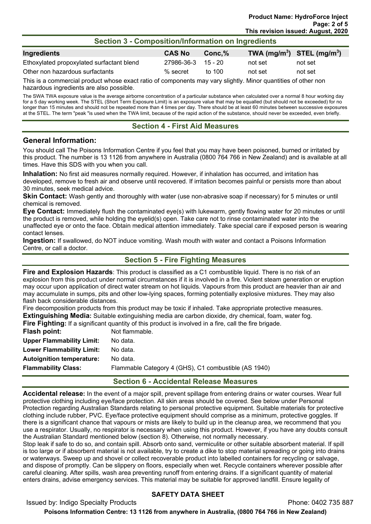## **Section 3 - Composition/Information on Ingredients**

| Ingredients                               | <b>CAS No</b>      | Conc.%   | TWA $(mg/m^3)$ STEL $(mg/m^3)$ |         |
|-------------------------------------------|--------------------|----------|--------------------------------|---------|
| Ethoxylated propoxylated surfactant blend | 27986-36-3 15 - 20 |          | not set                        | not set |
| Other non hazardous surfactants           | $\%$ secret        | to $100$ | not set                        | not set |

This is a commercial product whose exact ratio of components may vary slightly. Minor quantities of other non hazardous ingredients are also possible.

The SWA TWA exposure value is the average airborne concentration of a particular substance when calculated over a normal 8 hour working day for a 5 day working week. The STEL (Short Term Exposure Limit) is an exposure value that may be equalled (but should not be exceeded) for no longer than 15 minutes and should not be repeated more than 4 times per day. There should be at least 60 minutes between successive exposures at the STEL. The term "peak "is used when the TWA limit, because of the rapid action of the substance, should never be exceeded, even briefly.

## **Section 4 - First Aid Measures**

## **General Information:**

You should call The Poisons Information Centre if you feel that you may have been poisoned, burned or irritated by this product. The number is 13 1126 from anywhere in Australia (0800 764 766 in New Zealand) and is available at all times. Have this SDS with you when you call.

**Inhalation:** No first aid measures normally required. However, if inhalation has occurred, and irritation has developed, remove to fresh air and observe until recovered. If irritation becomes painful or persists more than about 30 minutes, seek medical advice.

**Skin Contact:** Wash gently and thoroughly with water (use non-abrasive soap if necessary) for 5 minutes or until chemical is removed.

**Eye Contact:** Immediately flush the contaminated eye(s) with lukewarm, gently flowing water for 20 minutes or until the product is removed, while holding the eyelid(s) open. Take care not to rinse contaminated water into the unaffected eye or onto the face. Obtain medical attention immediately. Take special care if exposed person is wearing contact lenses.

**Ingestion:** If swallowed, do NOT induce vomiting. Wash mouth with water and contact a Poisons Information Centre, or call a doctor.

## **Section 5 - Fire Fighting Measures**

**Fire and Explosion Hazards**: This product is classified as a C1 combustible liquid. There is no risk of an explosion from this product under normal circumstances if it is involved in a fire. Violent steam generation or eruption may occur upon application of direct water stream on hot liquids. Vapours from this product are heavier than air and may accumulate in sumps, pits and other low-lying spaces, forming potentially explosive mixtures. They may also flash back considerable distances.

Fire decomposition products from this product may be toxic if inhaled. Take appropriate protective measures. **Extinguishing Media:** Suitable extinguishing media are carbon dioxide, dry chemical, foam, water fog. **Fire Fighting:** If a significant quantity of this product is involved in a fire, call the fire brigade.

|                                  | <b>Fire Fighting.</b> If a significant quantity of this product is involved in a fire, call the fire prigad |
|----------------------------------|-------------------------------------------------------------------------------------------------------------|
| Flash point:                     | Not flammable.                                                                                              |
| <b>Upper Flammability Limit:</b> | No data.                                                                                                    |
| <b>Lower Flammability Limit:</b> | No data.                                                                                                    |
| <b>Autoignition temperature:</b> | No data.                                                                                                    |
| <b>Flammability Class:</b>       | Flammable Category 4 (GHS), C1 combustible (AS 1940)                                                        |

## **Section 6 - Accidental Release Measures**

**Accidental release:** In the event of a major spill, prevent spillage from entering drains or water courses. Wear full protective clothing including eye/face protection. All skin areas should be covered. See below under Personal Protection regarding Australian Standards relating to personal protective equipment. Suitable materials for protective clothing include rubber, PVC. Eye/face protective equipment should comprise as a minimum, protective goggles. If there is a significant chance that vapours or mists are likely to build up in the cleanup area, we recommend that you use a respirator. Usually, no respirator is necessary when using this product. However, if you have any doubts consult the Australian Standard mentioned below (section 8). Otherwise, not normally necessary.

Stop leak if safe to do so, and contain spill. Absorb onto sand, vermiculite or other suitable absorbent material. If spill is too large or if absorbent material is not available, try to create a dike to stop material spreading or going into drains or waterways. Sweep up and shovel or collect recoverable product into labelled containers for recycling or salvage, and dispose of promptly. Can be slippery on floors, especially when wet. Recycle containers wherever possible after careful cleaning. After spills, wash area preventing runoff from entering drains. If a significant quantity of material enters drains, advise emergency services. This material may be suitable for approved landfill. Ensure legality of

## **SAFETY DATA SHEET**

Issued by: Indigo Specialty Products **Phone: 0402 735 887** 

**Poisons Information Centre: 13 1126 from anywhere in Australia, (0800 764 766 in New Zealand)**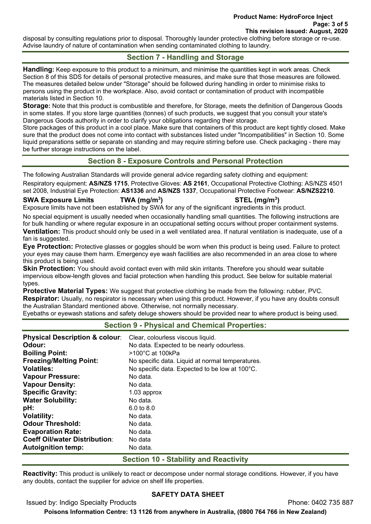disposal by consulting regulations prior to disposal. Thoroughly launder protective clothing before storage or re-use. Advise laundry of nature of contamination when sending contaminated clothing to laundry.

# **Section 7 - Handling and Storage**

**Handling:** Keep exposure to this product to a minimum, and minimise the quantities kept in work areas. Check Section 8 of this SDS for details of personal protective measures, and make sure that those measures are followed. The measures detailed below under "Storage" should be followed during handling in order to minimise risks to persons using the product in the workplace. Also, avoid contact or contamination of product with incompatible materials listed in Section 10.

**Storage:** Note that this product is combustible and therefore, for Storage, meets the definition of Dangerous Goods in some states. If you store large quantities (tonnes) of such products, we suggest that you consult your state's Dangerous Goods authority in order to clarify your obligations regarding their storage.

Store packages of this product in a cool place. Make sure that containers of this product are kept tightly closed. Make sure that the product does not come into contact with substances listed under "Incompatibilities" in Section 10. Some liquid preparations settle or separate on standing and may require stirring before use. Check packaging - there may be further storage instructions on the label.

# **Section 8 - Exposure Controls and Personal Protection**

The following Australian Standards will provide general advice regarding safety clothing and equipment:

Respiratory equipment: **AS/NZS 1715**, Protective Gloves: **AS 2161**, Occupational Protective Clothing: AS/NZS 4501 set 2008, Industrial Eye Protection: **AS1336** and **AS/NZS 1337**, Occupational Protective Footwear: **AS/NZS2210**.

## **SWA Exposure Limits TWA (mg/m3**

**) STEL (mg/m3 )** 

Exposure limits have not been established by SWA for any of the significant ingredients in this product.

No special equipment is usually needed when occasionally handling small quantities. The following instructions are for bulk handling or where regular exposure in an occupational setting occurs without proper containment systems.

**Ventilation:** This product should only be used in a well ventilated area. If natural ventilation is inadequate, use of a fan is suggested.

**Eye Protection:** Protective glasses or goggles should be worn when this product is being used. Failure to protect your eyes may cause them harm. Emergency eye wash facilities are also recommended in an area close to where this product is being used.

**Skin Protection:** You should avoid contact even with mild skin irritants. Therefore you should wear suitable impervious elbow-length gloves and facial protection when handling this product. See below for suitable material types.

**Protective Material Types:** We suggest that protective clothing be made from the following: rubber, PVC. **Respirator:** Usually, no respirator is necessary when using this product. However, if you have any doubts consult the Australian Standard mentioned above. Otherwise, not normally necessary.

Eyebaths or eyewash stations and safety deluge showers should be provided near to where product is being used.

| <b>Physical Description &amp; colour:</b> | Clear, colourless viscous liquid.                |
|-------------------------------------------|--------------------------------------------------|
| Odour:                                    | No data. Expected to be nearly odourless.        |
| <b>Boiling Point:</b>                     | $>100^{\circ}$ C at 100kPa                       |
| <b>Freezing/Melting Point:</b>            | No specific data. Liquid at normal temperatures. |
| <b>Volatiles:</b>                         | No specific data. Expected to be low at 100°C.   |
| <b>Vapour Pressure:</b>                   | No data.                                         |
| <b>Vapour Density:</b>                    | No data.                                         |
| <b>Specific Gravity:</b>                  | $1.03$ approx                                    |
| <b>Water Solubility:</b>                  | No data.                                         |
| pH:                                       | $6.0 \text{ to } 8.0$                            |
| <b>Volatility:</b>                        | No data.                                         |
| <b>Odour Threshold:</b>                   | No data.                                         |
| <b>Evaporation Rate:</b>                  | No data.                                         |
| <b>Coeff Oil/water Distribution:</b>      | No data                                          |
| <b>Autoignition temp:</b>                 | No data.                                         |
|                                           |                                                  |

# **Section 10 - Stability and Reactivity**

**Reactivity:** This product is unlikely to react or decompose under normal storage conditions. However, if you have any doubts, contact the supplier for advice on shelf life properties.

# **SAFETY DATA SHEET**

Issued by: Indigo Specialty Products Phone: 0402 735 887

**Poisons Information Centre: 13 1126 from anywhere in Australia, (0800 764 766 in New Zealand)**

# **Section 9 - Physical and Chemical Properties:**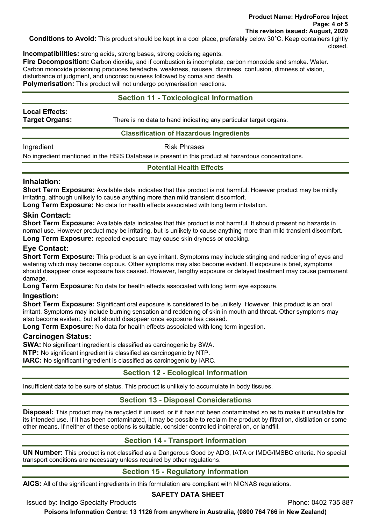**Conditions to Avoid:** This product should be kept in a cool place, preferably below 30°C. Keep containers tightly closed.

**Incompatibilities:** strong acids, strong bases, strong oxidising agents.

**Fire Decomposition:** Carbon dioxide, and if combustion is incomplete, carbon monoxide and smoke. Water. Carbon monoxide poisoning produces headache, weakness, nausea, dizziness, confusion, dimness of vision, disturbance of judgment, and unconsciousness followed by coma and death.

**Polymerisation:** This product will not undergo polymerisation reactions.

# **Section 11 - Toxicological Information**

**Local Effects:** 

**Target Organs:** There is no data to hand indicating any particular target organs.

## **Classification of Hazardous Ingredients**

Ingredient **Risk Phrases** 

No ingredient mentioned in the HSIS Database is present in this product at hazardous concentrations.

## **Potential Health Effects**

## **Inhalation:**

**Short Term Exposure:** Available data indicates that this product is not harmful. However product may be mildly irritating, although unlikely to cause anything more than mild transient discomfort.

**Long Term Exposure:** No data for health effects associated with long term inhalation.

## **Skin Contact:**

**Short Term Exposure:** Available data indicates that this product is not harmful. It should present no hazards in normal use. However product may be irritating, but is unlikely to cause anything more than mild transient discomfort. **Long Term Exposure:** repeated exposure may cause skin dryness or cracking.

## **Eye Contact:**

**Short Term Exposure:** This product is an eye irritant. Symptoms may include stinging and reddening of eyes and watering which may become copious. Other symptoms may also become evident. If exposure is brief, symptoms should disappear once exposure has ceased. However, lengthy exposure or delayed treatment may cause permanent damage.

**Long Term Exposure:** No data for health effects associated with long term eye exposure.

## **Ingestion:**

**Short Term Exposure:** Significant oral exposure is considered to be unlikely. However, this product is an oral irritant. Symptoms may include burning sensation and reddening of skin in mouth and throat. Other symptoms may also become evident, but all should disappear once exposure has ceased.

**Long Term Exposure:** No data for health effects associated with long term ingestion.

## **Carcinogen Status:**

**SWA:** No significant ingredient is classified as carcinogenic by SWA.

**NTP:** No significant ingredient is classified as carcinogenic by NTP.

**IARC:** No significant ingredient is classified as carcinogenic by IARC.

# **Section 12 - Ecological Information**

Insufficient data to be sure of status. This product is unlikely to accumulate in body tissues.

# **Section 13 - Disposal Considerations**

**Disposal:** This product may be recycled if unused, or if it has not been contaminated so as to make it unsuitable for its intended use. If it has been contaminated, it may be possible to reclaim the product by filtration, distillation or some other means. If neither of these options is suitable, consider controlled incineration, or landfill.

# **Section 14 - Transport Information**

**UN Number:** This product is not classified as a Dangerous Good by ADG, IATA or IMDG/IMSBC criteria. No special transport conditions are necessary unless required by other regulations.

# **Section 15 - Regulatory Information**

**AICS:** All of the significant ingredients in this formulation are compliant with NICNAS regulations.

## **SAFETY DATA SHEET**

Issued by: Indigo Specialty Products Phone: 0402 735 887

**Poisons Information Centre: 13 1126 from anywhere in Australia, (0800 764 766 in New Zealand)**